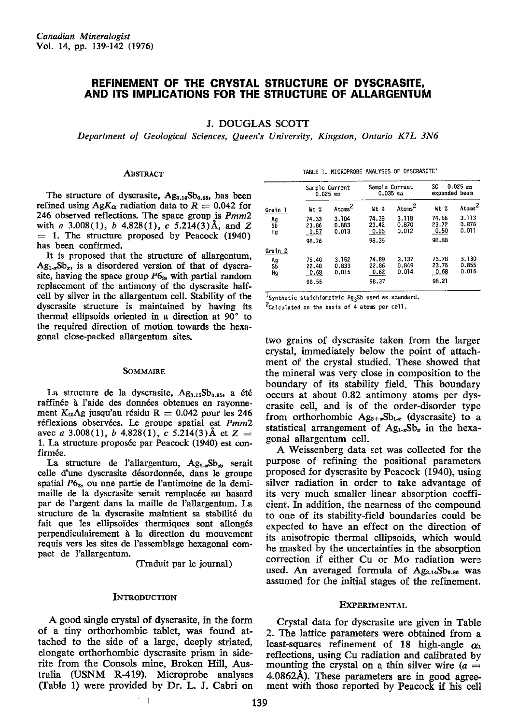# REFINEMENT OF THE CRYSTAL STRUCTURE OF DYSCRASITE, AND ITS IMPLICATIONS FOR THE STRUGTURE OF ALLARGENTUM

### J. DOUGLAS SCOTT

Department of Geological Sciences, Queen's University, Kingston, Ontario K7L 3N6

#### **ABSTRACT**

The structure of dyscrasite,  $Ag_{3,15}Sb_{0,85}$ , has been refined using  $AgK_{\alpha}$  radiation data to  $R = 0.042$  for 246 observed reflections. The space group is Pmm2 with a 3.008(1), b 4.828(1), c 5.214(3)Å, and Z  $= 1$ . The structure proposed by Peacock (1940) has been confirmed.

It is proposed that the structure of allargentum,  $Ag_{1-x}Sb_x$ , is a disordered version of that of dyscrasite, having the space group  $P6<sub>3</sub>$ , with partial random replacement of the antimony of the dyscrasite halfcell by silver in the allargentum cell. Stability of the dyscrasite structure is maintained by having its thermal ellipsoids oriented in a direction at 90" to the required direction of motion towards the hexagonal close-packed allargentum sites.

#### SOMMAIRE

La structure de la dyscrasite,  $Ag_{3.15}Sb_{0.85}$ , a été raffinée à l'aide des données obtenues en rayonnement  $K_{\alpha}$ Ag jusqu'au résidu R = 0.042 pour les 246 réflexions observées. Le groupe spatial est  $Pmm2$ avec a 3.008(1), b 4.828(1), c 5.214(3) Å et  $Z =$ 1. La structure proposée par Peacock (1940) est confirmée.

La structure de l'allargentum,  $Ag_{1-x}Sb_x$ , serait celle d'une dyscrasite désordonnée, dans le groupe spatial  $P6<sub>3</sub>$ , ou une partie de l'antimoine de la demimaille de la dyscrasite serait remplacée au hasard par de I'argent dans la maille de l'allargentum. La structure de la dyscrasite maintient sa stabilité du fait que les ellipsoïdes thermiques sont allongés perpendiculairement à la direction du mouvement requis vers les sites de l'assemblage hexagonal compact de l'allargentum.

(fraduit par le journal)

### **INTRODUCTION**

A good single crystal of dyscrasite, in the form of a tiny orthorhombic tablet, was found attached to the side of a large, deeply striated, elongate orthorhombic dyscrasite prism in siderite from the Consols mine, Broken Hill, Australia (USNM R419). Microprobe analyses CIable 1) were provided by Dr. L. J. Cabri on

TABLE 1. MICROPROBE ANALYSES OF DYSCRASITE'

|                           | Sample Current<br>$0.025$ ma    |                         |                                 | Sample Current<br>$0.035$ ma | $SC = 0.025$ ma<br>expanded beam |                         |
|---------------------------|---------------------------------|-------------------------|---------------------------------|------------------------------|----------------------------------|-------------------------|
| Grain 1                   | Wt %                            | Atoms <sup>2</sup>      | Mt. %                           | Atoms <sup>2</sup>           | Wt %                             | Atoms <sup>2</sup>      |
| Ag<br>Sb<br>Hq            | 74.33<br>23.86<br>0.57          | 3.104<br>0.883<br>0.013 | 74.38<br>23.42<br>0.55          | 3.118<br>0.870<br>0.012      | 74.66<br>23.72<br>0.50           | 3.113<br>0.876<br>0.011 |
|                           | 98.76                           |                         | 98.35                           |                              | 98.88                            |                         |
| Grain 2<br>Ag<br>SĎ<br>Hg | 75.40<br>22.48<br>0.68<br>98.56 | 3.152<br>0.833<br>0.015 | 74.89<br>22.86<br>0.62<br>98.37 | 3.137<br>0.849<br>0.014      | 73.78<br>23.75<br>0.68<br>98.21  | 3.130<br>0.855<br>0.016 |

 $I_{\text{Synthetic stoichiometric Ag}_3$ Sb used as standard.

 $2c$ alculated on the basis of 4 atoms per cell.

two grains of dyscrasite taken from the larger crystal, immediately below the point of attachmenf of the crystal studied. These showed that the mineral was very close in composition to the boundary of its stability field. This boundary occurs at about O.82 antimony atoms per dyscrasite cell, and is of the order-disorder type from orthorhombic  $Ag_{3+x}Sb_{1-x}$  (dyscrasite) to a statistical arrangement of  $Ag_{1-x}Sb_x$  in the hexagonal allargentum cell.

A Weissenberg data set was collected for the purpose of refining the positional parameters proposed for dyscrasite by Peacock (1940), using silver radiation in order to take advantage of its very much smaller linear absorption coefficient. In addition, the nearness of the compound to one of its stability-field boundaries could be expected to have an effect on the direction of its anisotropic thermal ellipsoids, which would be masked by the uncertainties in the absorption correction if either Cu or Mo radiation were used. An averaged formula of Ag<sub>3.14</sub>Sb<sub>0.86</sub> was assumed for the initial stages of the refinement.

### EXPERIMENTAL

Crystal data for dyscrasite are given in Table 2. The lattice parameters were obtained from a least-squares refinement of 18 high-angle  $\alpha_1$ reflections, using Cu radiation and calibrated by mounting the crystal on a thin silver wire  $(a =$ 4.08624). These parameters are in good agreement with those reported by Peacock if his cell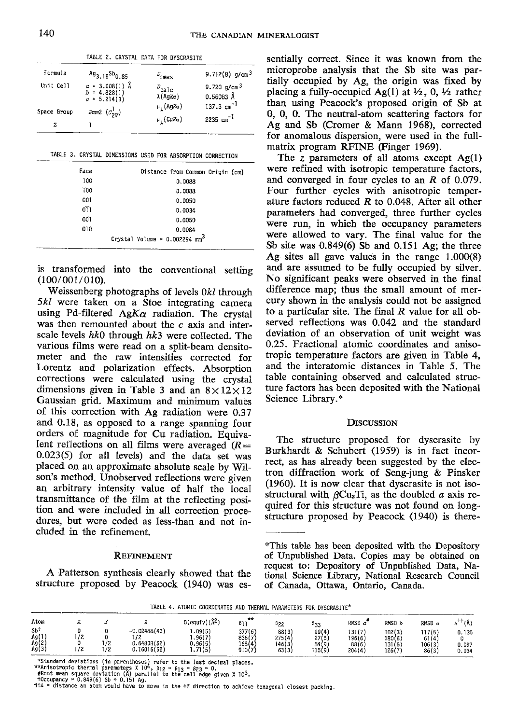| Formula          | $Ag_{3.15}Sb_{0.85}$                                 | $D_{meas}$                                            | 9.712(8) $g/cm^3$                                |
|------------------|------------------------------------------------------|-------------------------------------------------------|--------------------------------------------------|
| Unit Cell        | $a = 3.008(1)$ Å<br>$b = 4.828(1)$<br>$a = 5.214(3)$ | $P_{\text{calc}}$<br>λ(AqKα)<br>μ <sub>ο</sub> (AgKα) | 9.720 $g/cm^3$<br>$0.56083$ Å<br>137.3 $cm^{-1}$ |
| Space Group<br>z | $Pmn2$ $(c_{2n}^1)$                                  | μ <sub>ο</sub> (CuKα)                                 | 2235 $cm^{-1}$                                   |

|  |  |  | TABLE 3. CRYSTAL DIMENSIONS USED FOR ABSORPTION CORRECTION |
|--|--|--|------------------------------------------------------------|

| Face             | Distance from Common Origin (cm)            |
|------------------|---------------------------------------------|
| 100              | 0.0088                                      |
| $\overline{1}00$ | 0.0088                                      |
| 001              | 0.0050                                      |
| $0\overline{1}$  | 0.0034                                      |
| $00\overline{1}$ | 0.0050                                      |
| 010              | 0.0084                                      |
|                  | Crystal Volume = $0.002294$ mm <sup>3</sup> |
|                  |                                             |

is transformed into the conventional setting (100/001/010).

Weissenberg photographs of levels 0&/ through 5kl were taken on a Stoe integrating camera using Pd-filtered AgK $\alpha$  radiation. The crystal was then remounted about the  $c$  axis and interscale levels  $hk0$  through  $hk3$  were collected. The various films were read on a split-beam densitometer and the raw intensities corrected for Lorentz and polarization effects. Absorption corrections were calculated using the crystal dimensions given in Table 3 and an  $8\times12\times12$ Gaussian grid. Maximum and minimum values of this correction with Ag radiation were O.37 and 0.L8, as opposed to a range spanning four orders of magnitude for Cu radiation. Equivalent reflections on all films were averaged  $(R=$ 0.023(5) for all levels) and the data set was placed on an approximate absolute scale by Wilson's method. Unobserved reflections were given an arbitrary intensity value of half the local transmittance of the film at the reflecting position and were included in all correction procedures, but were coded as less-than and not included in the refinement.

### REFINEMENT

A Patterson synthesis clearly showed that the structure proposed by Peacock (1940) was es-

TABLE 2. CRYSTAL DATA FOR DYSCRASITE sentially correct. Since it was known from the microprobe analysis that the Sb site was partially occupied by Ag, the origin was fixed by placing a fully-occupied Ag(1) at  $\frac{1}{2}$ , 0,  $\frac{1}{2}$  rather than using Peacock's proposed origin of Sb at 0, 0, 0. The neutral-atom scattering factors for Ag and Sb (Cromer & Mann 1968), corrected for anomalous dispersion, were used in the fullmatrix program RFINE (Finger 1969),

> The z parameters of all atoms except  $Ag(1)$ were refined with isotropic temperature factors, and converged in four cycles to an R of 0.079. Four further cycles with anisotropic temperature factors reduced  $R$  to 0.048. After all other parameters had converged, three further cycles were run, in which the occupancy parameters were allowed to vary. The final value for the Sb site was 0.849(6) Sb and 0.151 Ag; the three Ag sites all gave values in the range 1.000(8) and are assumed to be fully occupied by silver. No significant peaks were observed in the final difference map; thus the small amount of mercury shown in the analysis could'not be assigned to a particular site. The final  $R$  value for all observed reflections was 0.042 and the standard deviation of an observation of unit weight was 0.25. Fractional atomic coordinates and anisotropic temperature factors are given in Table 4, and the interatomic distances in Table 5. The table containing observed and calculated structure factors has been deposited with the National Science Library.\*

### **DISCUSSION**

The structure proposed for dyscrasite by Burkhardt & Schubert (1959) is in fact incorrect, as has already been suggested by the electron diffraction work of Seng-jung & Pinsker (1960). It is now clear that dyscrasite is not isostructural with  $\beta$ Cu<sub>a</sub>Ti, as the doubled a axis required for this structure was not found on longstructure proposed by Peacock (1940) is there-

TABLE 4. ATOMIC COORDINATES AND THERMAL PARAMETERS FOR DYSCRASITE\*

|                               |                              | .          |                                                     |                                        |                                    |                                    |                                   |                                     |                                      |                                  |                         |
|-------------------------------|------------------------------|------------|-----------------------------------------------------|----------------------------------------|------------------------------------|------------------------------------|-----------------------------------|-------------------------------------|--------------------------------------|----------------------------------|-------------------------|
| Atom                          |                              |            |                                                     | $B$ (equiv) $(\hat{A}^2)$              | **<br>β1                           | 822                                | β۹۰<br>ن ر                        | RNSD $a^2$                          | rmsd <i>d</i>                        | $RMSD$ $c$                       | $+ +$<br>ï٨             |
| SЬT<br>Ag(1<br>Ag (2<br>Ag(3) | 12<br>, .<br>$\overline{12}$ | 1/2<br>1/2 | $-0.02488(43)$<br>1/2<br>0.64808(52)<br>0.16016(52) | .09(5)<br>1.96(7)<br>0.96(5)<br>.71(5) | 377(6)<br>836(7<br>168(4<br>910(7) | 88(3)<br>275(4)<br>146(3)<br>63(3) | 99(4)<br>27(5)<br>84(9)<br>115(9) | 131 (7<br>196(6,<br>88 (6<br>204(4) | 02(3)<br>180(6)<br>131 (6)<br>126 (7 | 117(5)<br>61(4)<br>106(3<br>86(3 | 0.130<br>0.097<br>0.034 |

\*Standard deviations (in parentheses) refer to the last decimal places.<br>\*\*Anisotropic thermal parameters X 10\*, 8<sub>12</sub> = B<sub>13</sub> = 823 = 0.<br>#Root mean square deviation (Å) parallel to the cell edge given X 10<sup>3</sup>.<br>+Dccupancy =

<sup>\*</sup>This table has been deposited with the Depository of Unpublished Data. Copies may be obtained on request to: Depository of Unpublished Data, National Science Library, National Research Council of Canada, Ottawa, Ontario, Canada.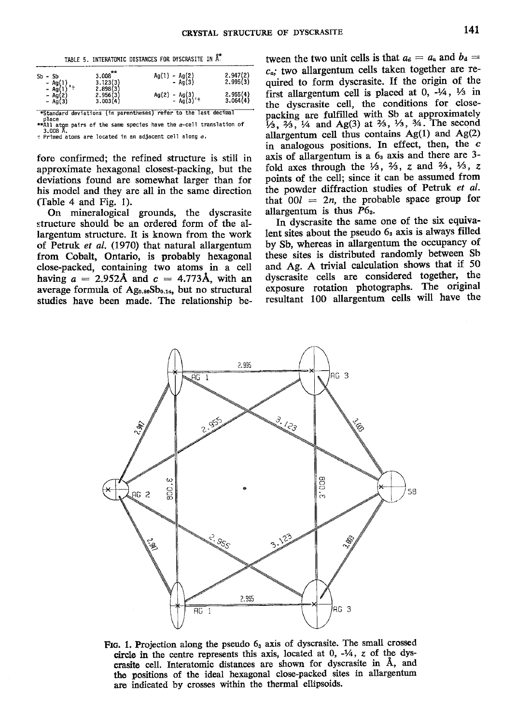|                               | TABLE 5. INTERATOMIC DISTANCES FOR DYSCRASITE IN Å. |                         |                          |
|-------------------------------|-----------------------------------------------------|-------------------------|--------------------------|
| $Sb - Sb$<br>- Ag(1)          | $3.008***$<br>$3.123(3)$<br>2.898(3)                | $Ag(1) - Ag(2) - Ag(3)$ | $2.947(2)$<br>$2.995(3)$ |
| - Ag(1)<br>– Ag(2)<br>– Ag(3) | $2.956(3)$<br>$3.003(4)$                            | Ag(2) - Ag(3) +         | $2.955(4)$<br>3.064(4)   |

\*Standard deviations (in parentheses) refer to the last decimal

Diace<br>\*\*All atom pairs of the same species have the *a*-cell translation of<br>2 nons R  $+$  Primed atoms are located in an adjacent cell along  $a$ .

fore confirmed; the refined structure is still in approximate hexagonal closest-packing, but the deviations found are somewhat larger than for his model and they are all in the same direction (Table 4 and Fig. 1).

On mineralogical grounds, the dyscrasite structure should be an ordered form of the allargentum structure. It is known from the work of Petruk et al. (1970) that natural allargentum from Cobalt, Ontario, is probably hexagonal close-packed, containing two atoms in a cell having  $a = 2.952$ Å and  $c = 4.773$ Å, with an average formula of Ag<sub>0.86</sub>Sb<sub>0.14</sub>, but no structural studies have been made. The relationship between the two unit cells is that  $a_d = a_a$  and  $b_d = a$  $c_{\alpha}$ ; two allargentum cells taken together are required to form dyscrasite. If the origin of the first allargentum cell is placed at 0,  $-1/4$ ,  $1/3$  in the dyscrasite cell, the conditions for closepacking are fulfilled with Sb at approximately  $\frac{1}{3}$ ,  $\frac{2}{3}$ ,  $\frac{1}{4}$  and Ag(3) at  $\frac{2}{3}$ ,  $\frac{1}{3}$ ,  $\frac{3}{4}$ . The second allargentum cell thus contains Ag(1) and Ag(2) in analogous positions. In effect, then, the  $c$ axis of allargentum is a 6<sub>3</sub> axis and there are 3fold axes through the  $\frac{1}{3}$ ,  $\frac{2}{3}$ , z and  $\frac{2}{3}$ ,  $\frac{1}{3}$ , z points of the cell; since it can be assumed from the powder diffraction studies of Petruk et al. that  $00l = 2n$ , the probable space group for allargentum is thus  $P6<sub>3</sub>$ .

In dyscrasite the same one of the six equivalent sites about the pseudo 6<sub>3</sub> axis is always filled by Sb, whereas in allargentum the occupancy of these sites is distributed randomly between Sb and Ag. A trivial calculation shows that if 50 dyscrasite cells are considered together, the exposure rotation photographs. The original resultant 100 allargentum cells will have the



FIG. 1. Projection along the pseudo  $6<sub>s</sub>$  axis of dyscrasite. The small crossed circle in the centre represents this axis, located at  $0, -\frac{1}{4}, z$  of the dyscrasite cell. Interatomic distances are shown for dyscrasite in Å, and the positions of the ideal hexagonal close-packed sites in allargentum are indicated by crosses within the thermal ellipsoids.